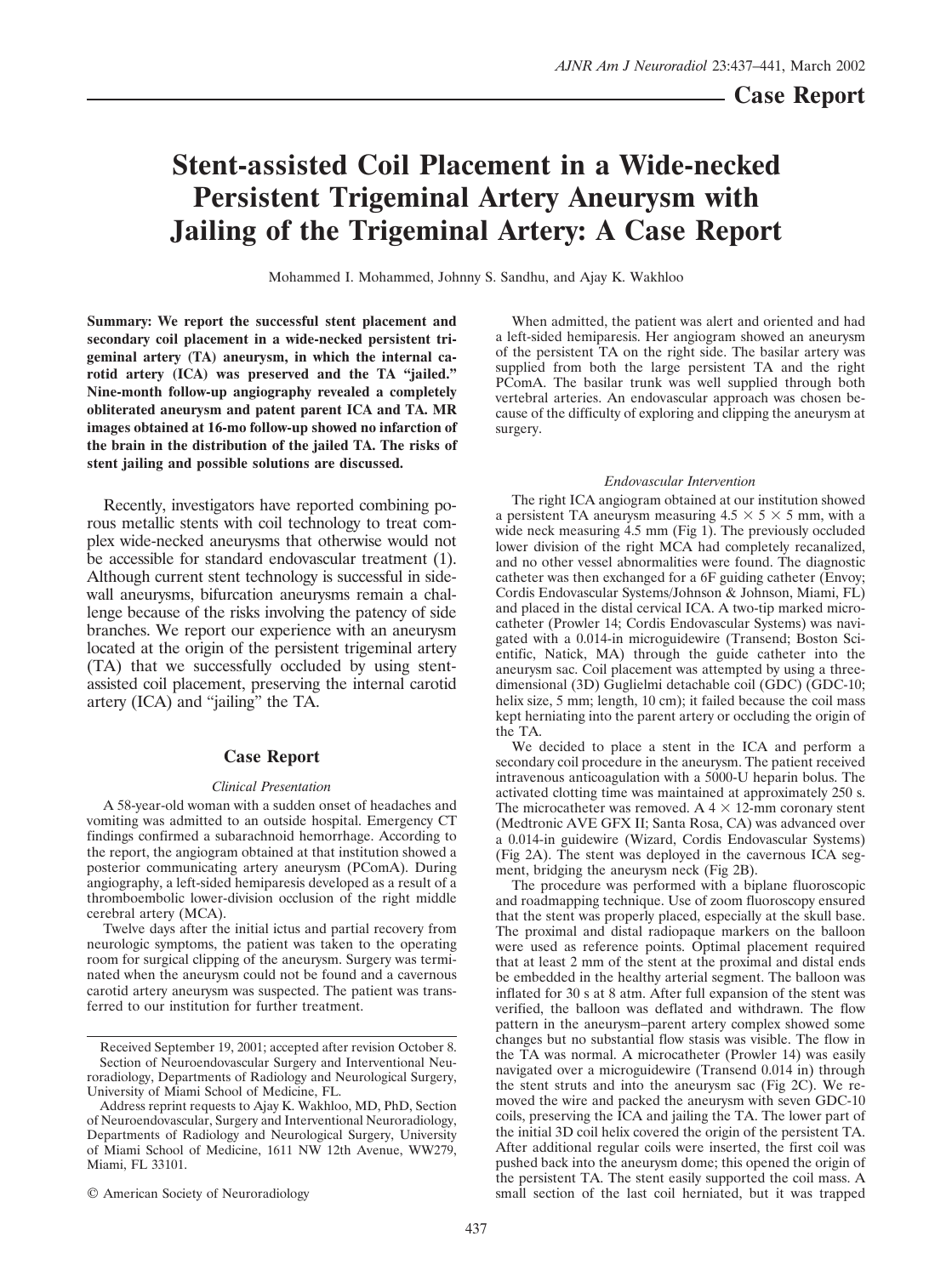# **Stent-assisted Coil Placement in a Wide-necked Persistent Trigeminal Artery Aneurysm with Jailing of the Trigeminal Artery: A Case Report**

Mohammed I. Mohammed, Johnny S. Sandhu, and Ajay K. Wakhloo

**Summary: We report the successful stent placement and secondary coil placement in a wide-necked persistent trigeminal artery (TA) aneurysm, in which the internal carotid artery (ICA) was preserved and the TA "jailed." Nine-month follow-up angiography revealed a completely obliterated aneurysm and patent parent ICA and TA. MR images obtained at 16-mo follow-up showed no infarction of the brain in the distribution of the jailed TA. The risks of stent jailing and possible solutions are discussed.**

Recently, investigators have reported combining porous metallic stents with coil technology to treat complex wide-necked aneurysms that otherwise would not be accessible for standard endovascular treatment (1). Although current stent technology is successful in sidewall aneurysms, bifurcation aneurysms remain a challenge because of the risks involving the patency of side branches. We report our experience with an aneurysm located at the origin of the persistent trigeminal artery (TA) that we successfully occluded by using stentassisted coil placement, preserving the internal carotid artery (ICA) and "jailing" the TA.

## **Case Report**

#### *Clinical Presentation*

A 58-year-old woman with a sudden onset of headaches and vomiting was admitted to an outside hospital. Emergency CT findings confirmed a subarachnoid hemorrhage. According to the report, the angiogram obtained at that institution showed a posterior communicating artery aneurysm (PComA). During angiography, a left-sided hemiparesis developed as a result of a thromboembolic lower-division occlusion of the right middle cerebral artery (MCA).

Twelve days after the initial ictus and partial recovery from neurologic symptoms, the patient was taken to the operating room for surgical clipping of the aneurysm. Surgery was terminated when the aneurysm could not be found and a cavernous carotid artery aneurysm was suspected. The patient was transferred to our institution for further treatment.

© American Society of Neuroradiology

When admitted, the patient was alert and oriented and had a left-sided hemiparesis. Her angiogram showed an aneurysm of the persistent TA on the right side. The basilar artery was supplied from both the large persistent TA and the right PComA. The basilar trunk was well supplied through both vertebral arteries. An endovascular approach was chosen because of the difficulty of exploring and clipping the aneurysm at surgery.

#### *Endovascular Intervention*

The right ICA angiogram obtained at our institution showed a persistent TA aneurysm measuring  $4.5 \times 5 \times 5$  mm, with a wide neck measuring 4.5 mm (Fig 1). The previously occluded lower division of the right MCA had completely recanalized, and no other vessel abnormalities were found. The diagnostic catheter was then exchanged for a 6F guiding catheter (Envoy; Cordis Endovascular Systems/Johnson & Johnson, Miami, FL) and placed in the distal cervical ICA. A two-tip marked microcatheter (Prowler 14; Cordis Endovascular Systems) was navigated with a 0.014-in microguidewire (Transend; Boston Scientific, Natick, MA) through the guide catheter into the aneurysm sac. Coil placement was attempted by using a threedimensional (3D) Guglielmi detachable coil (GDC) (GDC-10; helix size, 5 mm; length, 10 cm); it failed because the coil mass kept herniating into the parent artery or occluding the origin of the TA.

We decided to place a stent in the ICA and perform a secondary coil procedure in the aneurysm. The patient received intravenous anticoagulation with a 5000-U heparin bolus. The activated clotting time was maintained at approximately 250 s. The microcatheter was removed. A  $4 \times 12$ -mm coronary stent (Medtronic AVE GFX II; Santa Rosa, CA) was advanced over a 0.014-in guidewire (Wizard, Cordis Endovascular Systems) (Fig 2A). The stent was deployed in the cavernous ICA segment, bridging the aneurysm neck (Fig 2B).

The procedure was performed with a biplane fluoroscopic and roadmapping technique. Use of zoom fluoroscopy ensured that the stent was properly placed, especially at the skull base. The proximal and distal radiopaque markers on the balloon were used as reference points. Optimal placement required that at least 2 mm of the stent at the proximal and distal ends be embedded in the healthy arterial segment. The balloon was inflated for 30 s at 8 atm. After full expansion of the stent was verified, the balloon was deflated and withdrawn. The flow pattern in the aneurysm–parent artery complex showed some changes but no substantial flow stasis was visible. The flow in the TA was normal. A microcatheter (Prowler 14) was easily navigated over a microguidewire (Transend 0.014 in) through the stent struts and into the aneurysm sac (Fig 2C). We removed the wire and packed the aneurysm with seven GDC-10 coils, preserving the ICA and jailing the TA. The lower part of the initial 3D coil helix covered the origin of the persistent TA. After additional regular coils were inserted, the first coil was pushed back into the aneurysm dome; this opened the origin of the persistent TA. The stent easily supported the coil mass. A small section of the last coil herniated, but it was trapped

Received September 19, 2001; accepted after revision October 8. Section of Neuroendovascular Surgery and Interventional Neuroradiology, Departments of Radiology and Neurological Surgery, University of Miami School of Medicine, FL.

Address reprint requests to Ajay K. Wakhloo, MD, PhD, Section of Neuroendovascular, Surgery and Interventional Neuroradiology, Departments of Radiology and Neurological Surgery, University of Miami School of Medicine, 1611 NW 12th Avenue, WW279, Miami, FL 33101.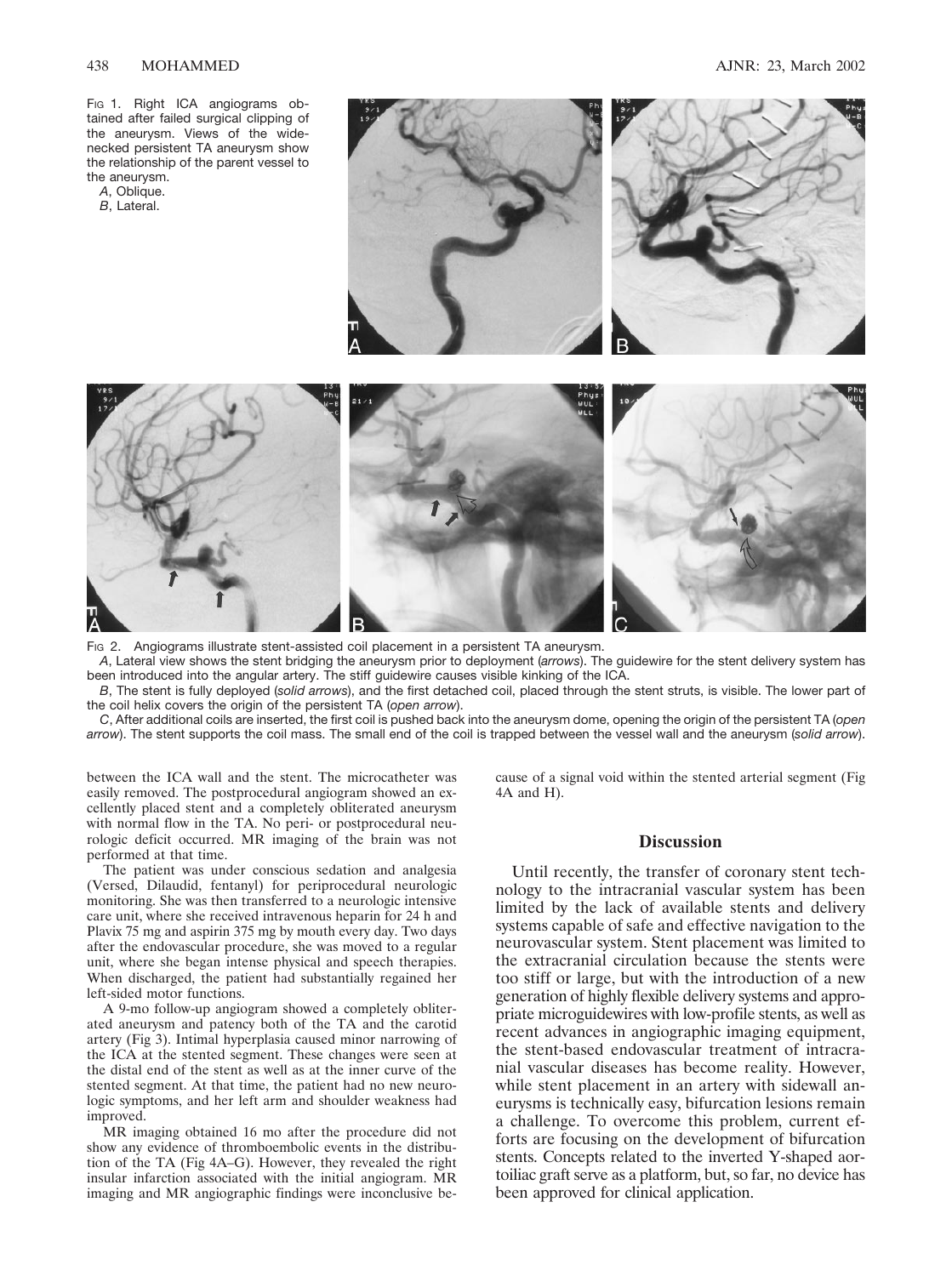Fig 1. Right ICA angiograms obtained after failed surgical clipping of the aneurysm. Views of the widenecked persistent TA aneurysm show the relationship of the parent vessel to the aneurysm.

- *A*, Oblique.
- *B*, Lateral.





FIG 2. Angiograms illustrate stent-assisted coil placement in a persistent TA aneurysm.

*A*, Lateral view shows the stent bridging the aneurysm prior to deployment (*arrows*). The guidewire for the stent delivery system has been introduced into the angular artery. The stiff guidewire causes visible kinking of the ICA.

*B*, The stent is fully deployed (*solid arrows*), and the first detached coil, placed through the stent struts, is visible. The lower part of the coil helix covers the origin of the persistent TA (*open arrow*).

*C*, After additional coils are inserted, the first coil is pushed back into the aneurysm dome, opening the origin of the persistent TA (*open arrow*). The stent supports the coil mass. The small end of the coil is trapped between the vessel wall and the aneurysm (*solid arrow*).

between the ICA wall and the stent. The microcatheter was easily removed. The postprocedural angiogram showed an excellently placed stent and a completely obliterated aneurysm with normal flow in the TA. No peri- or postprocedural neurologic deficit occurred. MR imaging of the brain was not performed at that time.

The patient was under conscious sedation and analgesia (Versed, Dilaudid, fentanyl) for periprocedural neurologic monitoring. She was then transferred to a neurologic intensive care unit, where she received intravenous heparin for 24 h and Plavix 75 mg and aspirin 375 mg by mouth every day. Two days after the endovascular procedure, she was moved to a regular unit, where she began intense physical and speech therapies. When discharged, the patient had substantially regained her left-sided motor functions.

A 9-mo follow-up angiogram showed a completely obliterated aneurysm and patency both of the TA and the carotid artery (Fig 3). Intimal hyperplasia caused minor narrowing of the ICA at the stented segment. These changes were seen at the distal end of the stent as well as at the inner curve of the stented segment. At that time, the patient had no new neurologic symptoms, and her left arm and shoulder weakness had improved.

MR imaging obtained 16 mo after the procedure did not show any evidence of thromboembolic events in the distribution of the TA (Fig 4A–G). However, they revealed the right insular infarction associated with the initial angiogram. MR imaging and MR angiographic findings were inconclusive because of a signal void within the stented arterial segment (Fig 4A and H).

## **Discussion**

Until recently, the transfer of coronary stent technology to the intracranial vascular system has been limited by the lack of available stents and delivery systems capable of safe and effective navigation to the neurovascular system. Stent placement was limited to the extracranial circulation because the stents were too stiff or large, but with the introduction of a new generation of highly flexible delivery systems and appropriate microguidewires with low-profile stents, as well as recent advances in angiographic imaging equipment, the stent-based endovascular treatment of intracranial vascular diseases has become reality. However, while stent placement in an artery with sidewall aneurysms is technically easy, bifurcation lesions remain a challenge. To overcome this problem, current efforts are focusing on the development of bifurcation stents. Concepts related to the inverted Y-shaped aortoiliac graft serve as a platform, but, so far, no device has been approved for clinical application.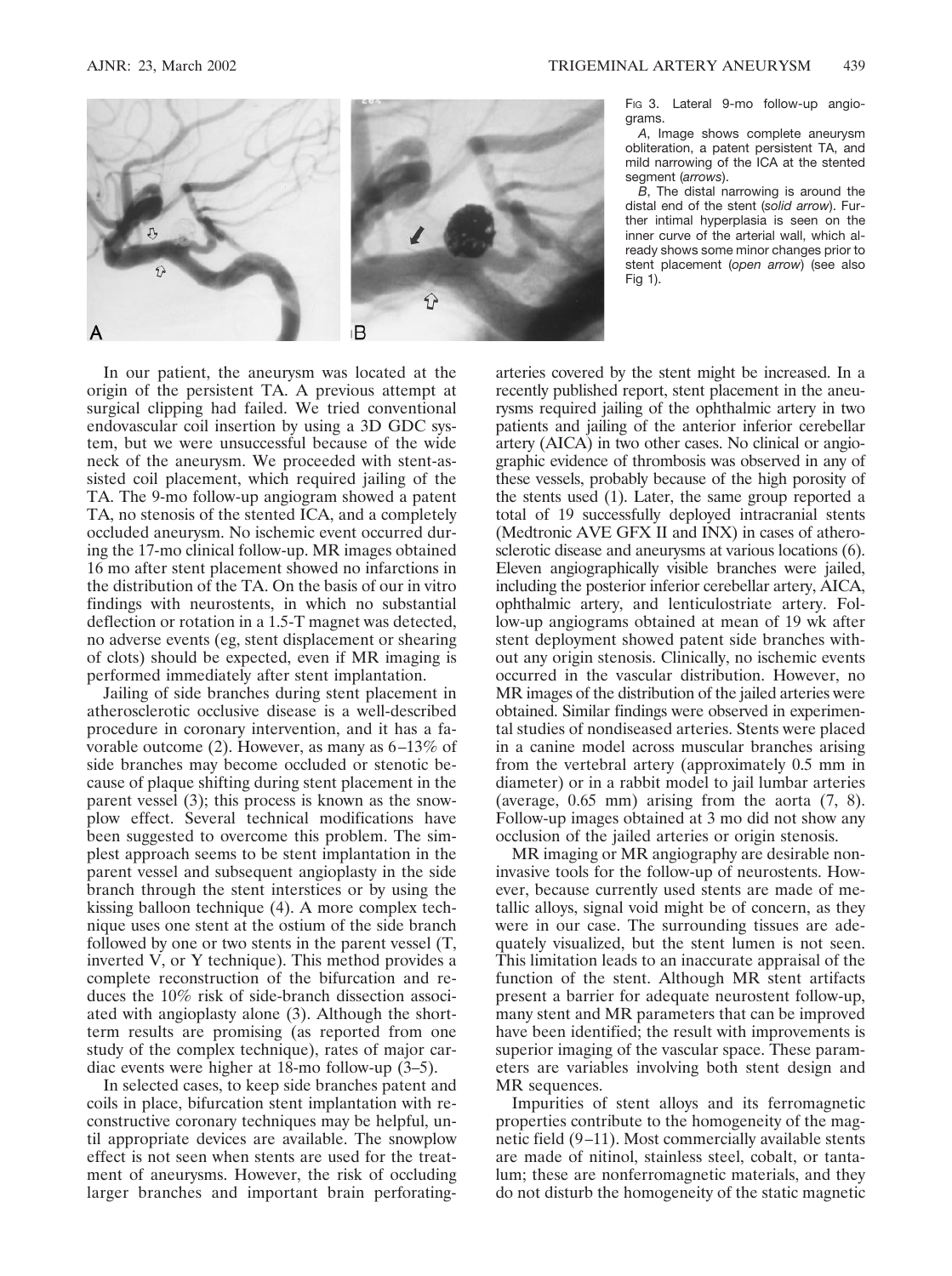

In our patient, the aneurysm was located at the origin of the persistent TA. A previous attempt at surgical clipping had failed. We tried conventional endovascular coil insertion by using a 3D GDC system, but we were unsuccessful because of the wide neck of the aneurysm. We proceeded with stent-assisted coil placement, which required jailing of the TA. The 9-mo follow-up angiogram showed a patent TA, no stenosis of the stented ICA, and a completely occluded aneurysm. No ischemic event occurred during the 17-mo clinical follow-up. MR images obtained 16 mo after stent placement showed no infarctions in the distribution of the TA. On the basis of our in vitro findings with neurostents, in which no substantial deflection or rotation in a 1.5-T magnet was detected, no adverse events (eg, stent displacement or shearing of clots) should be expected, even if MR imaging is performed immediately after stent implantation.

Jailing of side branches during stent placement in atherosclerotic occlusive disease is a well-described procedure in coronary intervention, and it has a favorable outcome (2). However, as many as 6–13% of side branches may become occluded or stenotic because of plaque shifting during stent placement in the parent vessel (3); this process is known as the snowplow effect. Several technical modifications have been suggested to overcome this problem. The simplest approach seems to be stent implantation in the parent vessel and subsequent angioplasty in the side branch through the stent interstices or by using the kissing balloon technique (4). A more complex technique uses one stent at the ostium of the side branch followed by one or two stents in the parent vessel (T, inverted V, or Y technique). This method provides a complete reconstruction of the bifurcation and reduces the 10% risk of side-branch dissection associated with angioplasty alone (3). Although the shortterm results are promising (as reported from one study of the complex technique), rates of major cardiac events were higher at 18-mo follow-up (3–5).

In selected cases, to keep side branches patent and coils in place, bifurcation stent implantation with reconstructive coronary techniques may be helpful, until appropriate devices are available. The snowplow effect is not seen when stents are used for the treatment of aneurysms. However, the risk of occluding larger branches and important brain perforatingFig 3. Lateral 9-mo follow-up angiograms.

*A*, Image shows complete aneurysm obliteration, a patent persistent TA, and mild narrowing of the ICA at the stented segment *(arrows*).

*B*, The distal narrowing is around the distal end of the stent (*solid arrow*). Further intimal hyperplasia is seen on the inner curve of the arterial wall, which already shows some minor changes prior to stent placement (*open arrow*) (see also Fig 1).

arteries covered by the stent might be increased. In a recently published report, stent placement in the aneurysms required jailing of the ophthalmic artery in two patients and jailing of the anterior inferior cerebellar artery (AICA) in two other cases. No clinical or angiographic evidence of thrombosis was observed in any of these vessels, probably because of the high porosity of the stents used (1). Later, the same group reported a total of 19 successfully deployed intracranial stents (Medtronic AVE GFX II and INX) in cases of atherosclerotic disease and aneurysms at various locations (6). Eleven angiographically visible branches were jailed, including the posterior inferior cerebellar artery, AICA, ophthalmic artery, and lenticulostriate artery. Follow-up angiograms obtained at mean of 19 wk after stent deployment showed patent side branches without any origin stenosis. Clinically, no ischemic events occurred in the vascular distribution. However, no MR images of the distribution of the jailed arteries were obtained. Similar findings were observed in experimental studies of nondiseased arteries. Stents were placed in a canine model across muscular branches arising from the vertebral artery (approximately 0.5 mm in diameter) or in a rabbit model to jail lumbar arteries (average, 0.65 mm) arising from the aorta (7, 8). Follow-up images obtained at 3 mo did not show any occlusion of the jailed arteries or origin stenosis.

MR imaging or MR angiography are desirable noninvasive tools for the follow-up of neurostents. However, because currently used stents are made of metallic alloys, signal void might be of concern, as they were in our case. The surrounding tissues are adequately visualized, but the stent lumen is not seen. This limitation leads to an inaccurate appraisal of the function of the stent. Although MR stent artifacts present a barrier for adequate neurostent follow-up, many stent and MR parameters that can be improved have been identified; the result with improvements is superior imaging of the vascular space. These parameters are variables involving both stent design and MR sequences.

Impurities of stent alloys and its ferromagnetic properties contribute to the homogeneity of the magnetic field (9–11). Most commercially available stents are made of nitinol, stainless steel, cobalt, or tantalum; these are nonferromagnetic materials, and they do not disturb the homogeneity of the static magnetic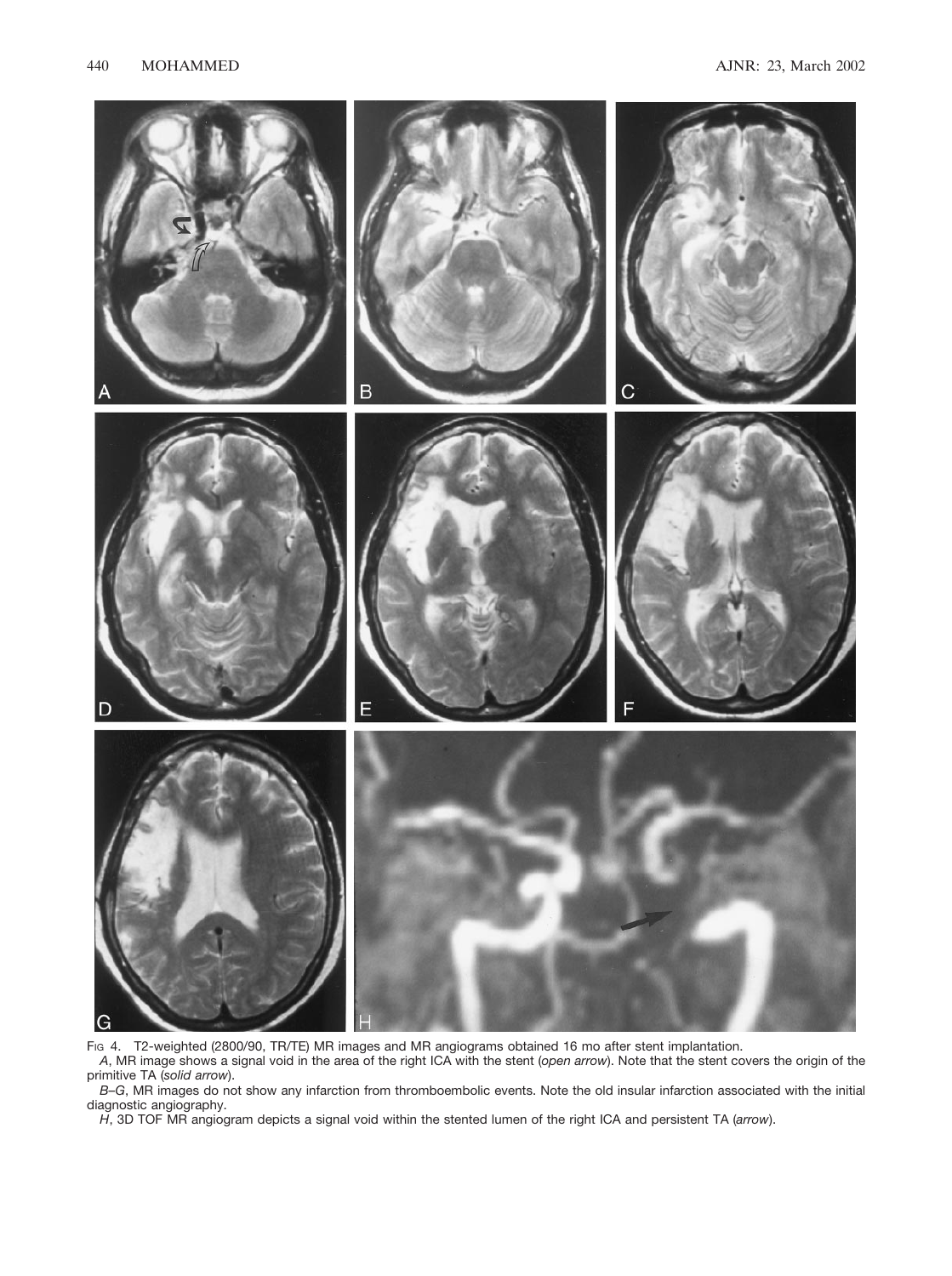

FIG 4. T2-weighted (2800/90, TR/TE) MR images and MR angiograms obtained 16 mo after stent implantation.

*A*, MR image shows a signal void in the area of the right ICA with the stent (*open arrow*). Note that the stent covers the origin of the primitive TA (*solid arrow*).

*B–G*, MR images do not show any infarction from thromboembolic events. Note the old insular infarction associated with the initial diagnostic angiography.

*H*, 3D TOF MR angiogram depicts a signal void within the stented lumen of the right ICA and persistent TA (*arrow*).